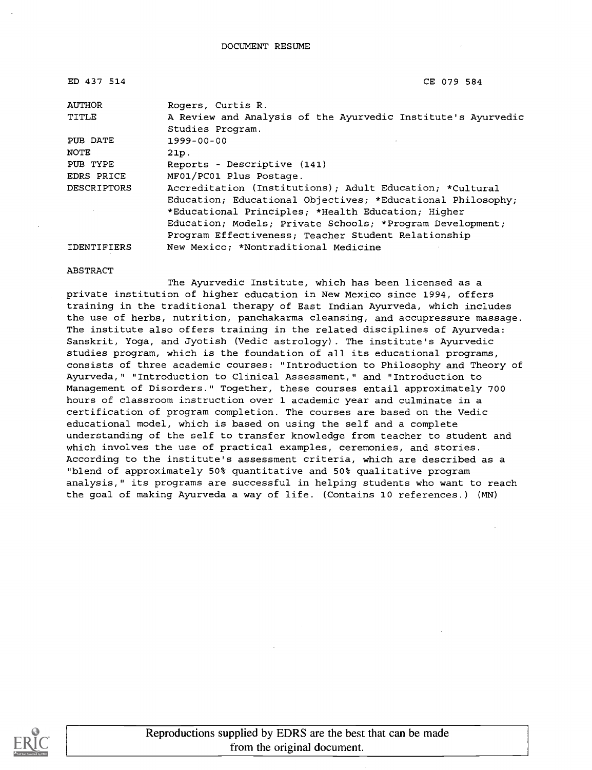| ED 437 514         | CE 079 584                                                   |
|--------------------|--------------------------------------------------------------|
| AUTHOR             | Rogers, Curtis R.                                            |
| TITLE              | A Review and Analysis of the Ayurvedic Institute's Ayurvedic |
|                    | Studies Program.                                             |
| PUB DATE           | $1999 - 00 - 00$                                             |
| NOTE               | 21p.                                                         |
| PUB TYPE           | Reports - Descriptive (141)                                  |
| EDRS PRICE         | MF01/PC01 Plus Postage.                                      |
| <b>DESCRIPTORS</b> | Accreditation (Institutions); Adult Education; *Cultural     |
|                    | Education; Educational Objectives; *Educational Philosophy;  |
|                    | *Educational Principles; *Health Education; Higher           |
|                    | Education; Models; Private Schools; *Program Development;    |
|                    | Program Effectiveness; Teacher Student Relationship          |
| <b>IDENTIFIERS</b> | New Mexico; *Nontraditional Medicine                         |

#### ABSTRACT

The Ayurvedic Institute, which has been licensed as a private institution of higher education in New Mexico since 1994, offers training in the traditional therapy of East Indian Ayurveda, which includes the use of herbs, nutrition, panchakarma cleansing, and accupressure massage. The institute also offers training in the related disciplines of Ayurveda: Sanskrit, Yoga, and Jyotish (Vedic astrology). The institute's Ayurvedic studies program, which is the foundation of all its educational programs, consists of three academic courses: "Introduction to Philosophy and Theory of Ayurveda," "Introduction to Clinical Assessment," and "Introduction to Management of Disorders." Together, these courses entail approximately 700 hours of classroom instruction over 1 academic year and culminate in a certification of program completion. The courses are based on the Vedic educational model, which is based on using the self and a complete understanding of the self to transfer knowledge from teacher to student and which involves the use of practical examples, ceremonies, and stories. According to the institute's assessment criteria, which are described as a "blend of approximately 50% quantitative and 50% qualitative program analysis," its programs are successful in helping students who want to reach the goal of making Ayurveda a way of life. (Contains 10 references.) (MN)

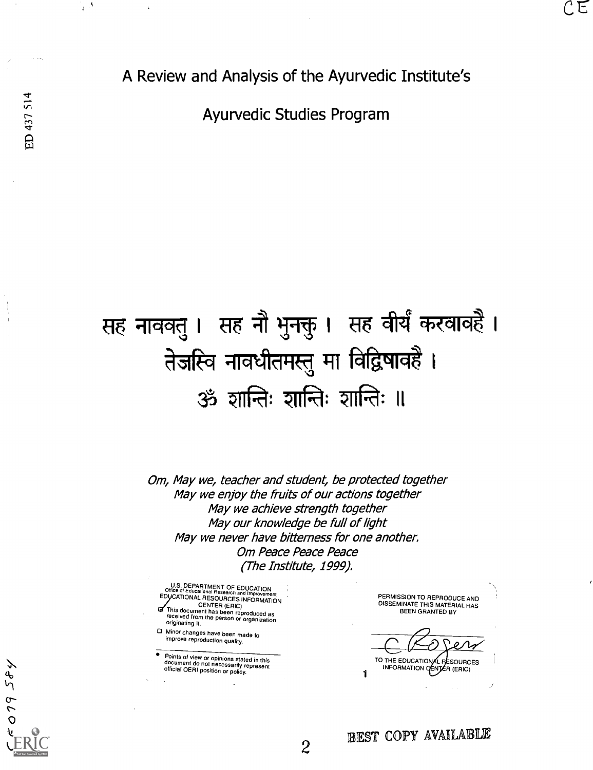$079584$ 

 $\frac{1}{2}$  ,  $\frac{1}{2}$ 

A Review and Analysis of the Ayurvedic Institute's

Ayurvedic Studies Program

# सह नाववतु । सह नौ भुनक्तु । सह वीर्यं करवावहै । तेजस्वि नावधीतमस्तु मा विद्विषावहै। 35ं शान्तिः शान्तिः ॥

Om, May we, teacher and student, be protected together May we enjoy the fruits of our actions together May we achieve strength together May our knowledge be full of light May we never have bitterness for one another. Om Peace Peace Peace (The Institute, 1999).

U.S. DEPARTMENT OF EDUCATION<br>EDUCATIONAL RESOURCES INFORMATION<br>EDUCATIONAL RESOURCES INFORMATION<br>TTHIS AT THE ATION CENTER (ERIC)

This document has been reproduced as received from the person or organization originating it.

Minor changes have been made to improve reproduction quality.

Points of view or opinions stated in this document do not necessarily represent official OERI position or policy.

PERMISSION TO REPRODUCE AND DISSEMINATE THIS MATERIAL HAS BEEN GRANTED BY

1 INFORMATION OF ENTER (ERIC) TO THE EDUCATIONAL PESOURCES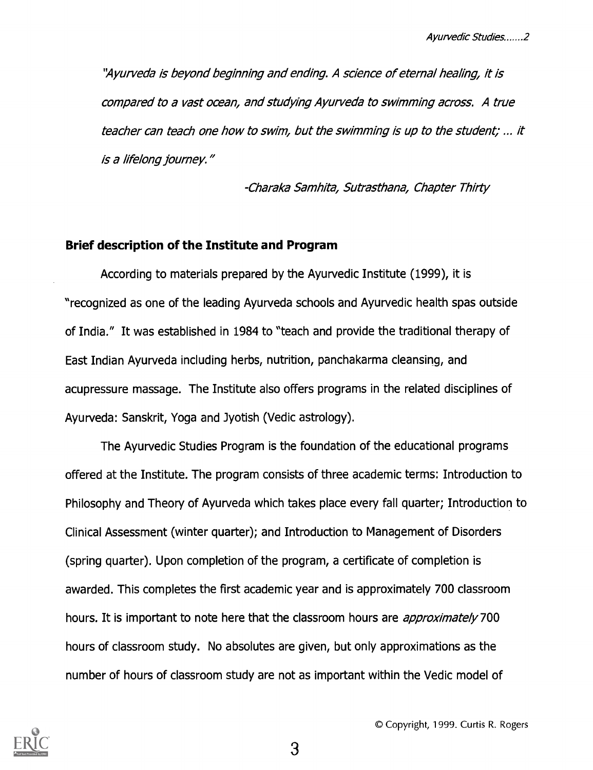"Ayurveda is beyond beginning and ending. A science of eternal healing, it is compared to a vast ocean, and studying Ayurveda to swimming across. A true teacher can teach one how to swim, but the swimming is up to the student; ... it is a lifelong journey."

-Charaka Samhita, Sutrasthana, Chapter Thirty

#### Brief description of the Institute and Program

According to materials prepared by the Ayurvedic Institute (1999), it is "recognized as one of the leading Ayurveda schools and Ayurvedic health spas outside of India." It was established in 1984 to "teach and provide the traditional therapy of East Indian Ayurveda including herbs, nutrition, panchakarma cleansing, and acupressure massage. The Institute also offers programs in the related disciplines of Ayurveda: Sanskrit, Yoga and Jyotish (Vedic astrology).

The Ayurvedic Studies Program is the foundation of the educational programs offered at the Institute. The program consists of three academic terms: Introduction to Philosophy and Theory of Ayurveda which takes place every fall quarter; Introduction to Clinical Assessment (winter quarter); and Introduction to Management of Disorders (spring quarter). Upon completion of the program, a certificate of completion is awarded. This completes the first academic year and is approximately 700 classroom hours. It is important to note here that the classroom hours are *approximately* 700 hours of classroom study. No absolutes are given, but only approximations as the number of hours of classroom study are not as important within the Vedic model of



0 Copyright, 1999. Curtis R. Rogers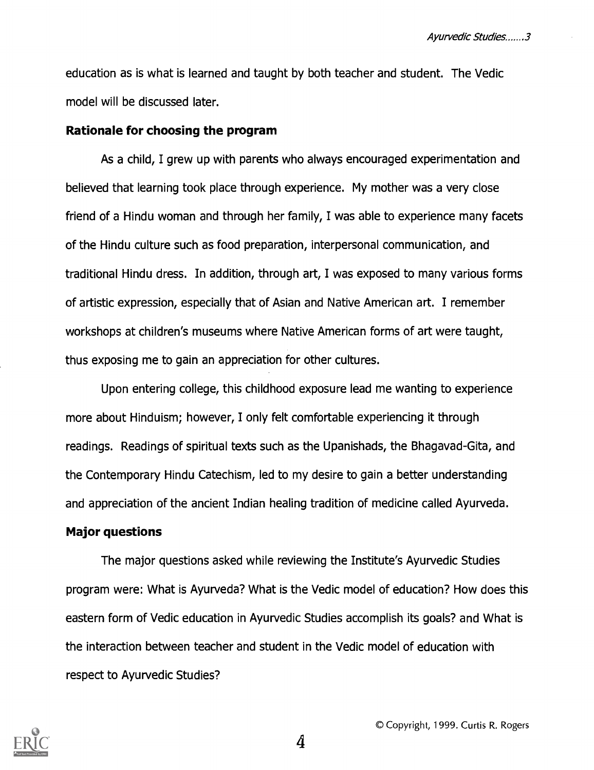education as is what is learned and taught by both teacher and student. The Vedic model will be discussed later.

#### Rationale for choosing the program

As a child, I grew up with parents who always encouraged experimentation and believed that learning took place through experience. My mother was a very close friend of a Hindu woman and through her family, I was able to experience many facets of the Hindu culture such as food preparation, interpersonal communication, and traditional Hindu dress. In addition, through art, I was exposed to many various forms of artistic expression, especially that of Asian and Native American art. I remember workshops at children's museums where Native American forms of art were taught, thus exposing me to gain an appreciation for other cultures.

Upon entering college, this childhood exposure lead me wanting to experience more about Hinduism; however, I only felt comfortable experiencing it through readings. Readings of spiritual texts such as the Upanishads, the Bhagavad-Gita, and the Contemporary Hindu Catechism, led to my desire to gain a better understanding and appreciation of the ancient Indian healing tradition of medicine called Ayurveda.

#### Major questions

The major questions asked while reviewing the Institute's Ayurvedic Studies program were: What is Ayurveda? What is the Vedic model of education? How does this eastern form of Vedic education in Ayurvedic Studies accomplish its goals? and What is the interaction between teacher and student in the Vedic model of education with respect to Ayurvedic Studies?

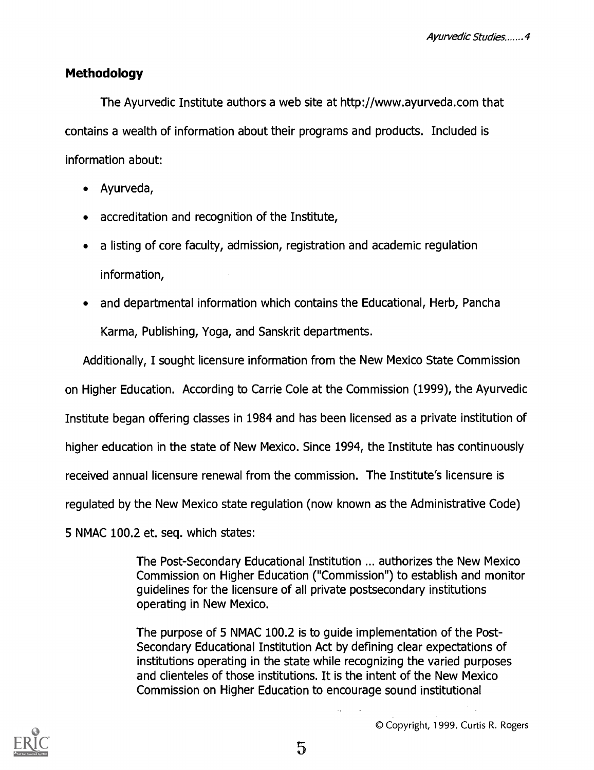## Methodology

The Ayurvedic Institute authors a web site at http://www.ayurveda.com that contains a wealth of information about their programs and products. Included is information about:

- Ayurveda,  $\bullet$
- accreditation and recognition of the Institute,
- a listing of core faculty, admission, registration and academic regulation information,
- and departmental information which contains the Educational, Herb, Pancha  $\bullet$ Karma, Publishing, Yoga, and Sanskrit departments.

Additionally, I sought licensure information from the New Mexico State Commission

on Higher Education. According to Carrie Cole at the Commission (1999), the Ayurvedic

Institute began offering classes in 1984 and has been licensed as a private institution of

higher education in the state of New Mexico. Since 1994, the Institute has continuously

received annual licensure renewal from the commission. The Institute's licensure is

regulated by the New Mexico state regulation (now known as the Administrative Code)

5 NMAC 100.2 et. seq. which states:

The Post-Secondary Educational Institution ... authorizes the New Mexico Commission on Higher Education ("Commission") to establish and monitor guidelines for the licensure of all private postsecondary institutions operating in New Mexico.

The purpose of 5 NMAC 100.2 is to guide implementation of the Post-Secondary Educational Institution Act by defining clear expectations of institutions operating in the state while recognizing the varied purposes and clienteles of those institutions. It is the intent of the New Mexico Commission on Higher Education to encourage sound institutional

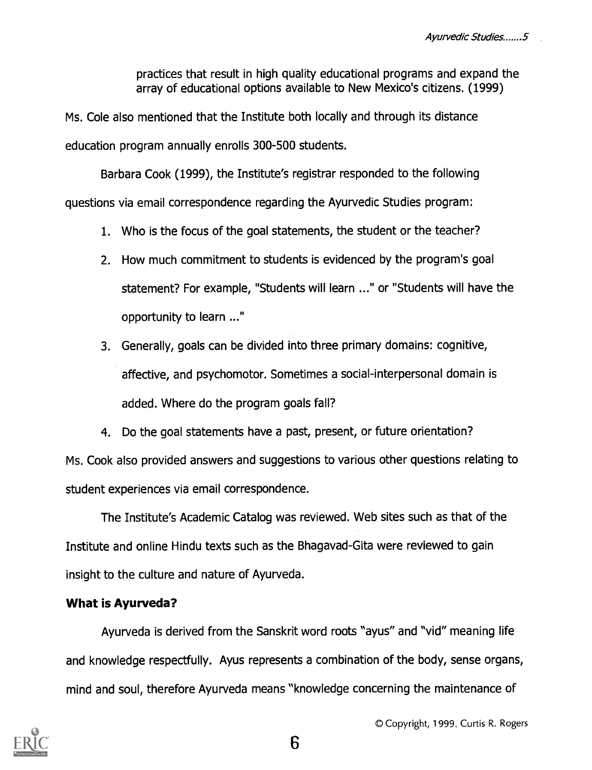practices that result in high quality educational programs and expand the array of educational options available to New Mexico's citizens. (1999)

Ms. Cole also mentioned that the Institute both locally and through its distance education program annually enrolls 300-500 students.

Barbara Cook (1999), the Institute's registrar responded to the following questions via email correspondence regarding the Ayurvedic Studies program:

- 1. Who is the focus of the goal statements, the student or the teacher?
- 2. How much commitment to students is evidenced by the program's goal statement? For example, "Students will learn ..." or "Students will have the opportunity to learn ..."
- 3. Generally, goals can be divided into three primary domains: cognitive, affective, and psychomotor. Sometimes a social-interpersonal domain is added. Where do the program goals fall?
- 4. Do the goal statements have a past, present, or future orientation?

Ms. Cook also provided answers and suggestions to various other questions relating to student experiences via email correspondence.

The Institute's Academic Catalog was reviewed. Web sites such as that of the Institute and online Hindu texts such as the Bhagavad-Gita were reviewed to gain insight to the culture and nature of Ayurveda.

## What is Ayurveda?

Ayurveda is derived from the Sanskrit word roots "ayus" and "vid" meaning life and knowledge respectfully. Ayus represents a combination of the body, sense organs, mind and soul, therefore Ayurveda means "knowledge concerning the maintenance of

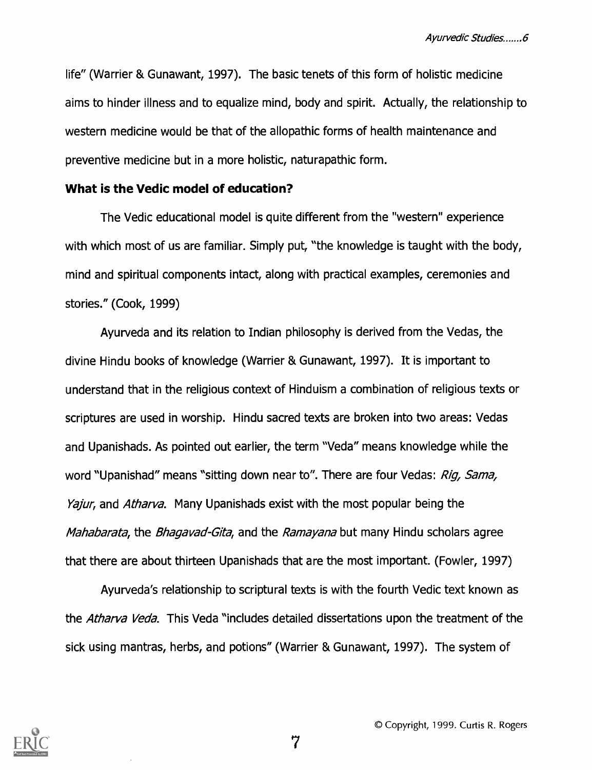life" (Warrier & Gunawant, 1997). The basic tenets of this form of holistic medicine aims to hinder illness and to equalize mind, body and spirit. Actually, the relationship to western medicine would be that of the allopathic forms of health maintenance and preventive medicine but in a more holistic, naturapathic form.

#### What is the Vedic model of education?

The Vedic educational model is quite different from the "western" experience with which most of us are familiar. Simply put, "the knowledge is taught with the body, mind and spiritual components intact, along with practical examples, ceremonies and stories." (Cook, 1999)

Ayurveda and its relation to Indian philosophy is derived from the Vedas, the divine Hindu books of knowledge (Warrier & Gunawant, 1997). It is important to understand that in the religious context of Hinduism a combination of religious texts or scriptures are used in worship. Hindu sacred texts are broken into two areas: Vedas and Upanishads. As pointed out earlier, the term "Veda" means knowledge while the word "Upanishad" means "sitting down near to". There are four Vedas: Rig, Sama, Yajur, and Atharva. Many Upanishads exist with the most popular being the Mahabarata, the Bhagavad-Gita, and the Ramayana but many Hindu scholars agree that there are about thirteen Upanishads that are the most important. (Fowler, 1997)

Ayurveda's relationship to scriptural texts is with the fourth Vedic text known as the *Atharva Veda*. This Veda "includes detailed dissertations upon the treatment of the sick using mantras, herbs, and potions" (Warrier & Gunawant, 1997). The system of

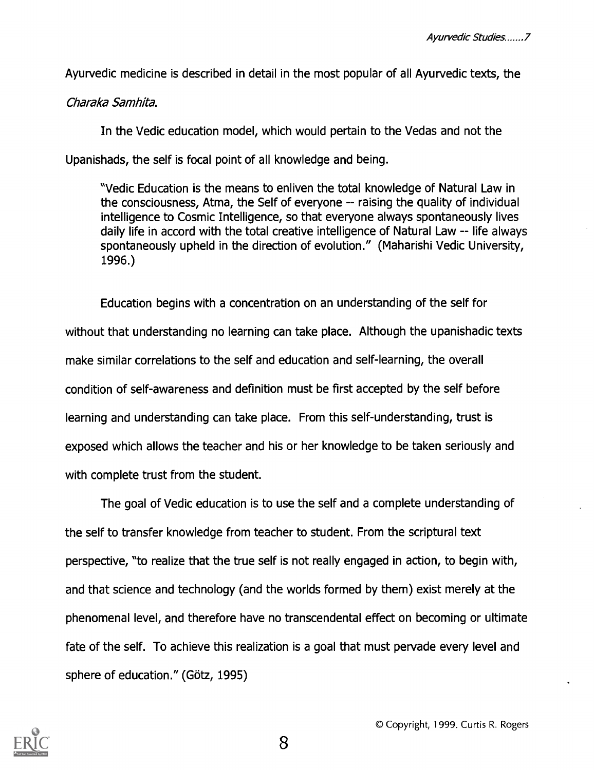Ayurvedic medicine is described in detail in the most popular of all Ayurvedic texts, the

#### Charaka Samhita.

In the Vedic education model, which would pertain to the Vedas and not the Upanishads, the self is focal point of all knowledge and being.

"Vedic Education is the means to enliven the total knowledge of Natural Law in the consciousness, Atma, the Self of everyone -- raising the quality of individual intelligence to Cosmic Intelligence, so that everyone always spontaneously lives daily life in accord with the total creative intelligence of Natural Law -- life always spontaneously upheld in the direction of evolution." (Maharishi Vedic University, 1996.)

Education begins with a concentration on an understanding of the self for without that understanding no learning can take place. Although the upanishadic texts make similar correlations to the self and education and self-learning, the overall condition of self-awareness and definition must be first accepted by the self before learning and understanding can take place. From this self-understanding, trust is exposed which allows the teacher and his or her knowledge to be taken seriously and with complete trust from the student.

The goal of Vedic education is to use the self and a complete understanding of the self to transfer knowledge from teacher to student. From the scriptural text perspective, "to realize that the true self is not really engaged in action, to begin with, and that science and technology (and the worlds formed by them) exist merely at the phenomenal level, and therefore have no transcendental effect on becoming or ultimate fate of the self. To achieve this realization is a goal that must pervade every level and sphere of education." (Götz, 1995)

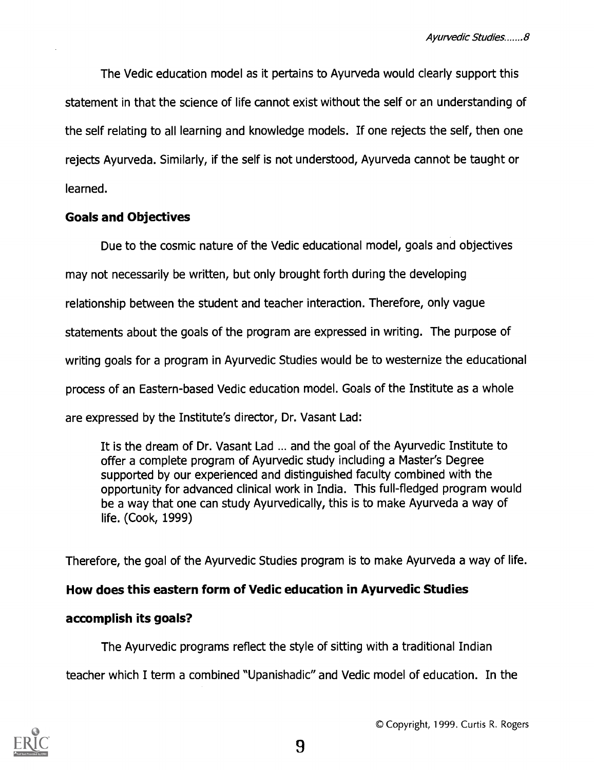The Vedic education model as it pertains to Ayurveda would clearly support this statement in that the science of life cannot exist without the self or an understanding of the self relating to all learning and knowledge models. If one rejects the self, then one rejects Ayurveda. Similarly, if the self is not understood, Ayurveda cannot be taught or learned.

#### Goals and Objectives

Due to the cosmic nature of the Vedic educational model, goals and objectives may not necessarily be written, but only brought forth during the developing relationship between the student and teacher interaction. Therefore, only vague statements about the goals of the program are expressed in writing. The purpose of writing goals for a program in Ayurvedic Studies would be to westernize the educational process of an Eastern-based Vedic education model. Goals of the Institute as a whole are expressed by the Institute's director, Dr. Vasant Lad:

It is the dream of Dr. Vasant Lad ... and the goal of the Ayurvedic Institute to offer a complete program of Ayurvedic study including a Master's Degree supported by our experienced and distinguished faculty combined with the opportunity for advanced clinical work in India. This full-fledged program would be a way that one can study Ayurvedically, this is to make Ayurveda a way of life. (Cook, 1999)

Therefore, the goal of the Ayurvedic Studies program is to make Ayurveda a way of life.

## How does this eastern form of Vedic education in Ayurvedic Studies

## accomplish its goals?

The Ayurvedic programs reflect the style of sitting with a traditional Indian

teacher which I term a combined "Upanishadic" and Vedic model of education. In the



0 Copyright, 1999. Curtis R. Rogers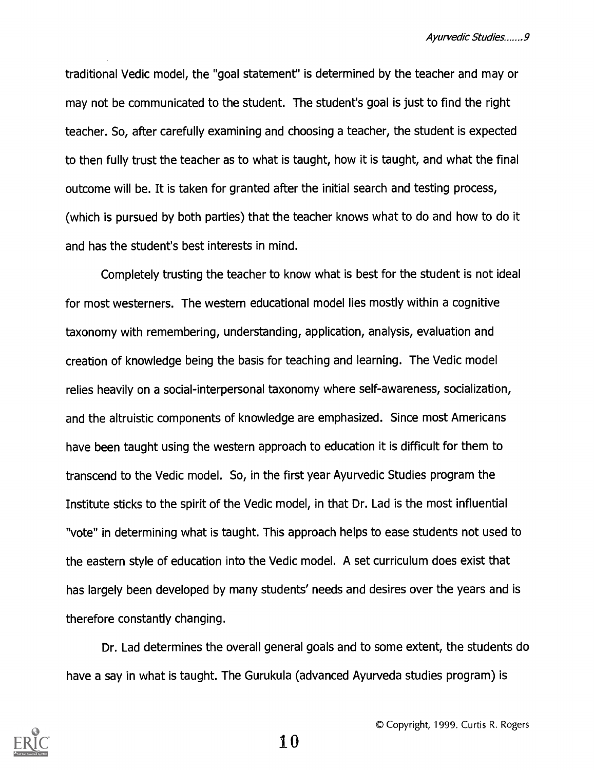traditional Vedic model, the "goal statement" is determined by the teacher and may or may not be communicated to the student. The student's goal is just to find the right teacher. So, after carefully examining and choosing a teacher, the student is expected to then fully trust the teacher as to what is taught, how it is taught, and what the final outcome will be. It is taken for granted after the initial search and testing process, (which is pursued by both parties) that the teacher knows what to do and how to do it and has the student's best interests in mind.

Completely trusting the teacher to know what is best for the student is not ideal for most westerners. The western educational model lies mostly within a cognitive taxonomy with remembering, understanding, application, analysis, evaluation and creation of knowledge being the basis for teaching and learning. The Vedic model relies heavily on a social-interpersonal taxonomy where self-awareness, socialization, and the altruistic components of knowledge are emphasized. Since most Americans have been taught using the western approach to education it is difficult for them to transcend to the Vedic model. So, in the first year Ayurvedic Studies program the Institute sticks to the spirit of the Vedic model, in that Dr. Lad is the most influential "vote" in determining what is taught. This approach helps to ease students not used to the eastern style of education into the Vedic model. A set curriculum does exist that has largely been developed by many students' needs and desires over the years and is therefore constantly changing.

Dr. Lad determines the overall general goals and to some extent, the students do have a say in what is taught. The Gurukula (advanced Ayurveda studies program) is

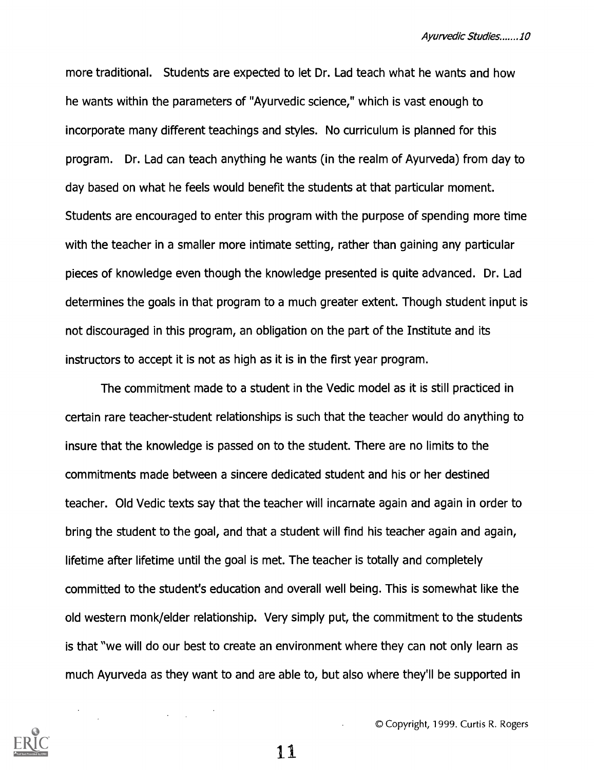more traditional. Students are expected to let Dr. Lad teach what he wants and how he wants within the parameters of "Ayurvedic science," which is vast enough to incorporate many different teachings and styles. No curriculum is planned for this program. Dr. Lad can teach anything he wants (in the realm of Ayurveda) from day to day based on what he feels would benefit the students at that particular moment. Students are encouraged to enter this program with the purpose of spending more time with the teacher in a smaller more intimate setting, rather than gaining any particular pieces of knowledge even though the knowledge presented is quite advanced. Dr. Lad determines the goals in that program to a much greater extent. Though student input is not discouraged in this program, an obligation on the part of the Institute and its instructors to accept it is not as high as it is in the first year program.

The commitment made to a student in the Vedic model as it is still practiced in certain rare teacher-student relationships is such that the teacher would do anything to insure that the knowledge is passed on to the student. There are no limits to the commitments made between a sincere dedicated student and his or her destined teacher. Old Vedic texts say that the teacher will incarnate again and again in order to bring the student to the goal, and that a student will find his teacher again and again, lifetime after lifetime until the goal is met. The teacher is totally and completely committed to the student's education and overall well being. This is somewhat like the old western monk/elder relationship. Very simply put, the commitment to the students is that "we will do our best to create an environment where they can not only learn as much Ayurveda as they want to and are able to, but also where they'll be supported in



© Copyright, 1999. Curtis R. Rogers

11

 $\mathcal{L}^{\text{max}}(\mathcal{L}^{\text{max}})$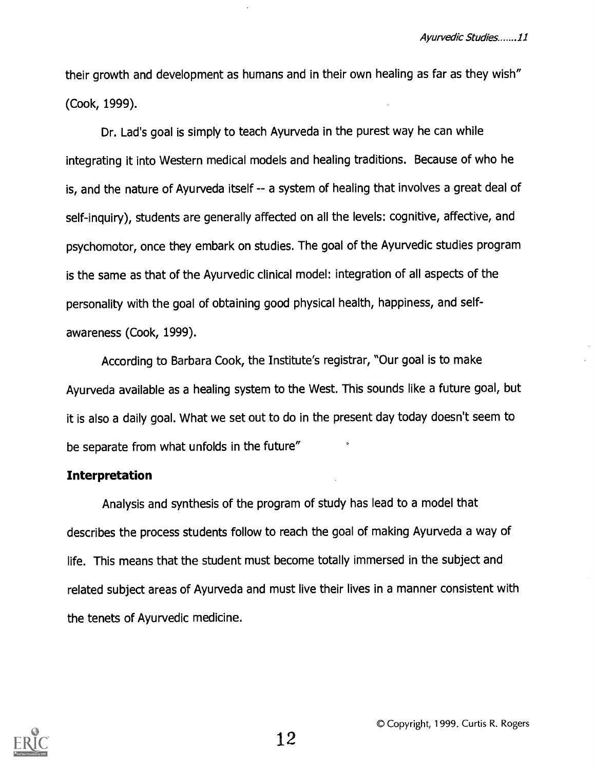their growth and development as humans and in their own healing as far as they wish" (Cook, 1999).

Dr. Lad's goal is simply to teach Ayurveda in the purest way he can while integrating it into Western medical models and healing traditions. Because of who he is, and the nature of Ayurveda itself -- a system of healing that involves a great deal of self-inquiry), students are generally affected on all the levels: cognitive, affective, and psychomotor, once they embark on studies. The goal of the Ayurvedic studies program is the same as that of the Ayurvedic clinical model: integration of all aspects of the personality with the goal of obtaining good physical health, happiness, and selfawareness (Cook, 1999).

According to Barbara Cook, the Institute's registrar, "Our goal is to make Ayurveda available as a healing system to the West. This sounds like a future goal, but it is also a daily goal. What we set out to do in the present day today doesn't seem to be separate from what unfolds in the future"

#### Interpretation

Analysis and synthesis of the program of study has lead to a model that describes the process students follow to reach the goal of making Ayurveda a way of life. This means that the student must become totally immersed in the subject and related subject areas of Ayurveda and must live their lives in a manner consistent with the tenets of Ayurvedic medicine.

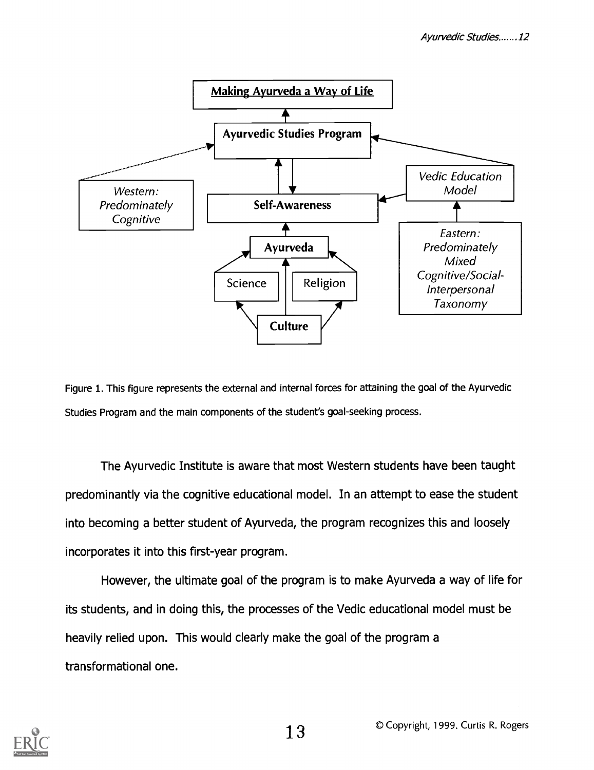



The Ayurvedic Institute is aware that most Western students have been taught predominantly via the cognitive educational model. In an attempt to ease the student into becoming a better student of Ayurveda, the program recognizes this and loosely incorporates it into this first-year program.

However, the ultimate goal of the program is to make Ayurveda a way of life for its students, and in doing this, the processes of the Vedic educational model must be heavily relied upon. This would clearly make the goal of the program a transformational one.

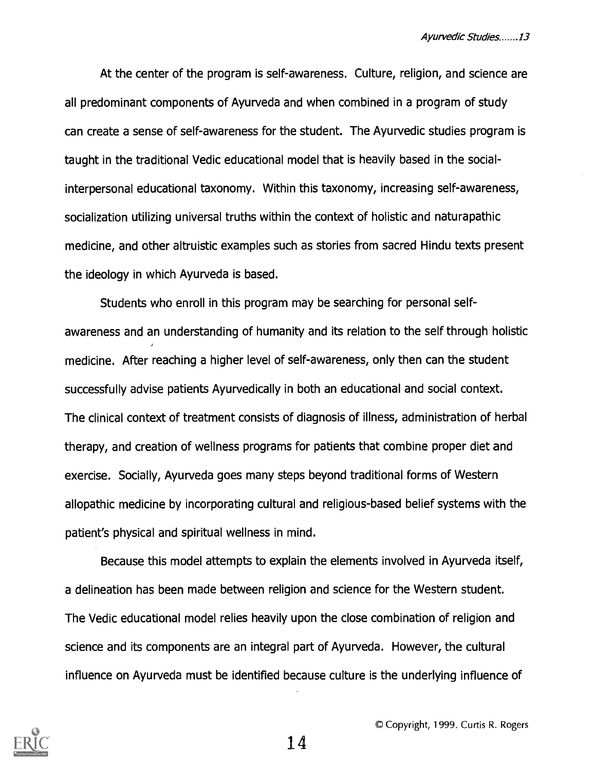At the center of the program is self-awareness. Culture, religion, and science are all predominant components of Ayurveda and when combined in a program of study can create a sense of self-awareness for the student. The Ayurvedic studies program is taught in the traditional Vedic educational model that is heavily based in the socialinterpersonal educational taxonomy. Within this taxonomy, increasing self-awareness, socialization utilizing universal truths within the context of holistic and naturapathic medicine, and other altruistic examples such as stories from sacred Hindu texts present the ideology in which Ayurveda is based.

Students who enroll in this program may be searching for personal selfawareness and an understanding of humanity and its relation to the self through holistic medicine. After reaching a higher level of self-awareness, only then can the student successfully advise patients Ayurvedically in both an educational and social context. The clinical context of treatment consists of diagnosis of illness, administration of herbal therapy, and creation of wellness programs for patients that combine proper diet and exercise. Socially, Ayurveda goes many steps beyond traditional forms of Western allopathic medicine by incorporating cultural and religious-based belief systems with the patient's physical and spiritual wellness in mind.

Because this model attempts to explain the elements involved in Ayurveda itself, a delineation has been made between religion and science for the Western student. The Vedic educational model relies heavily upon the close combination of religion and science and its components are an integral part of Ayurveda. However, the cultural influence on Ayurveda must be identified because culture is the underlying influence of

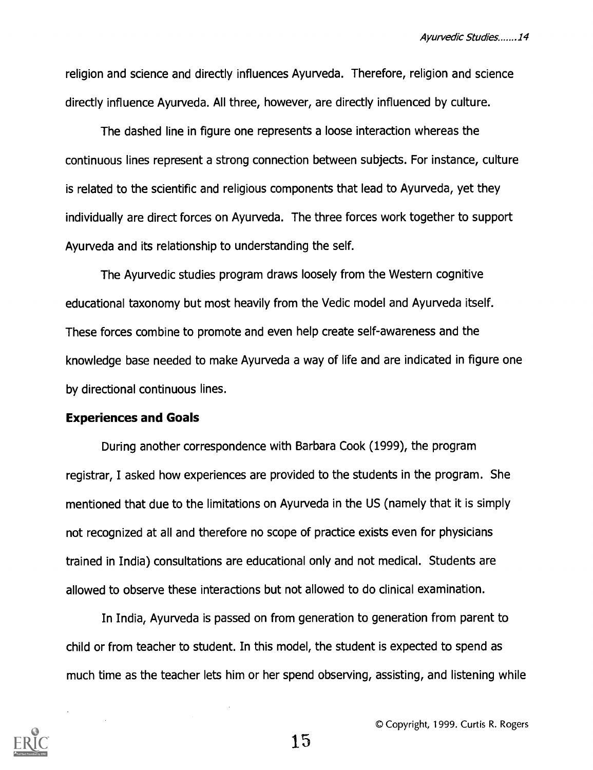religion and science and directly influences Ayurveda. Therefore, religion and science directly influence Ayurveda. All three, however, are directly influenced by culture.

The dashed line in figure one represents a loose interaction whereas the continuous lines represent a strong connection between subjects. For instance, culture is related to the scientific and religious components that lead to Ayurveda, yet they individually are direct forces on Ayurveda. The three forces work together to support Ayurveda and its relationship to understanding the self.

The Ayurvedic studies program draws loosely from the Western cognitive educational taxonomy but most heavily from the Vedic model and Ayurveda itself. These forces combine to promote and even help create self-awareness and the knowledge base needed to make Ayurveda a way of life and are indicated in figure one by directional continuous lines.

#### Experiences and Goals

During another correspondence with Barbara Cook (1999), the program registrar, I asked how experiences are provided to the students in the program. She mentioned that due to the limitations on Ayurveda in the US (namely that it is simply not recognized at all and therefore no scope of practice exists even for physicians trained in India) consultations are educational only and not medical. Students are allowed to observe these interactions but not allowed to do clinical examination.

In India, Ayurveda is passed on from generation to generation from parent to child or from teacher to student. In this model, the student is expected to spend as much time as the teacher lets him or her spend observing, assisting, and listening while



0 Copyright, 1999. Curtis R. Rogers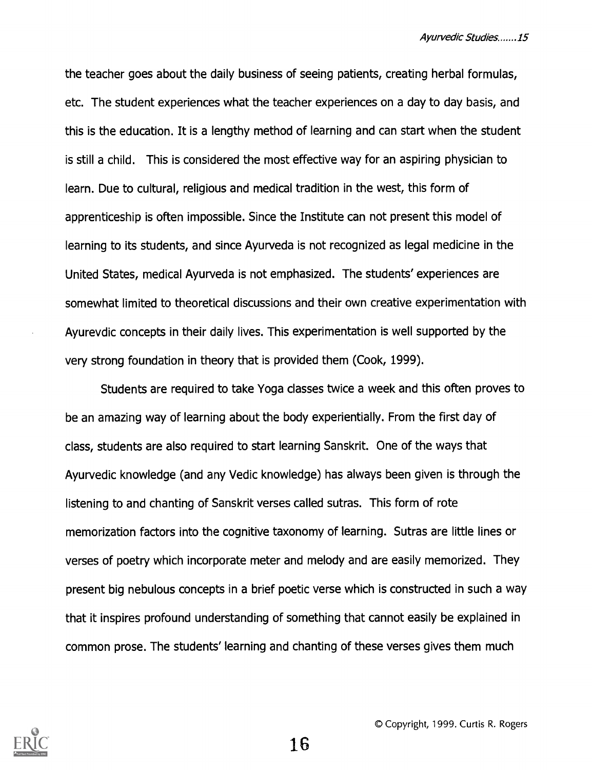the teacher goes about the daily business of seeing patients, creating herbal formulas, etc. The student experiences what the teacher experiences on a day to day basis, and this is the education. It is a lengthy method of learning and can start when the student is still a child. This is considered the most effective way for an aspiring physician to learn. Due to cultural, religious and medical tradition in the west, this form of apprenticeship is often impossible. Since the Institute can not present this model of learning to its students, and since Ayurveda is not recognized as legal medicine in the United States, medical Ayurveda is not emphasized. The students' experiences are somewhat limited to theoretical discussions and their own creative experimentation with Ayurevdic concepts in their daily lives. This experimentation is well supported by the very strong foundation in theory that is provided them (Cook, 1999).

Students are required to take Yoga classes twice a week and this often proves to be an amazing way of learning about the body experientially. From the first day of class, students are also required to start learning Sanskrit. One of the ways that Ayurvedic knowledge (and any Vedic knowledge) has always been given is through the listening to and chanting of Sanskrit verses called sutras. This form of rote memorization factors into the cognitive taxonomy of learning. Sutras are little lines or verses of poetry which incorporate meter and melody and are easily memorized. They present big nebulous concepts in a brief poetic verse which is constructed in such a way that it inspires profound understanding of something that cannot easily be explained in common prose. The students' learning and chanting of these verses gives them much

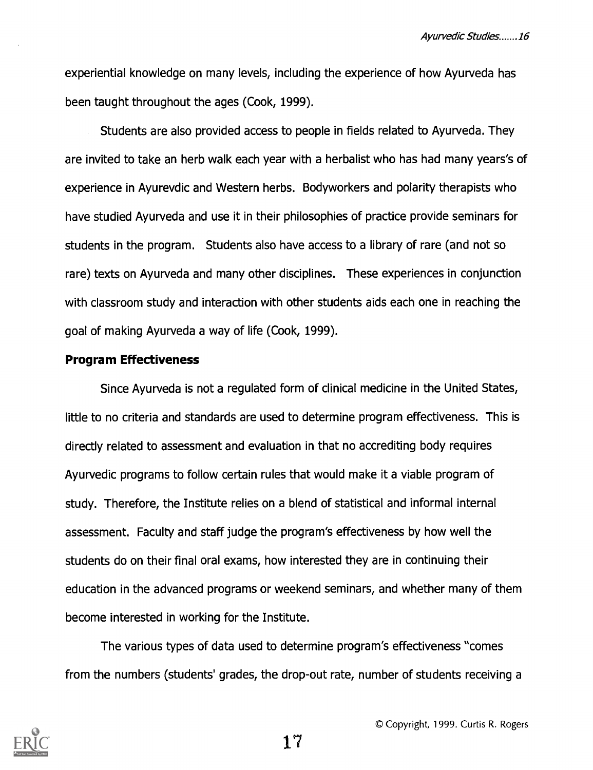Ayurvedic Studies.......16

experiential knowledge on many levels, including the experience of how Ayurveda has been taught throughout the ages (Cook, 1999).

Students are also provided access to people in fields related to Ayurveda. They are invited to take an herb walk each year with a herbalist who has had many years's of experience in Ayurevdic and Western herbs. Bodyworkers and polarity therapists who have studied Ayurveda and use it in their philosophies of practice provide seminars for students in the program. Students also have access to a library of rare (and not so rare) texts on Ayurveda and many other disciplines. These experiences in conjunction with classroom study and interaction with other students aids each one in reaching the goal of making Ayurveda a way of life (Cook, 1999).

#### Program Effectiveness

Since Ayurveda is not a regulated form of clinical medicine in the United States, little to no criteria and standards are used to determine program effectiveness. This is directly related to assessment and evaluation in that no accrediting body requires Ayurvedic programs to follow certain rules that would make it a viable program of study. Therefore, the Institute relies on a blend of statistical and informal internal assessment. Faculty and staff judge the program's effectiveness by how well the students do on their final oral exams, how interested they are in continuing their education in the advanced programs or weekend seminars, and whether many of them become interested in working for the Institute.

The various types of data used to determine program's effectiveness "comes from the numbers (students' grades, the drop-out rate, number of students receiving a



© Copyright, 1999. Curtis R. Rogers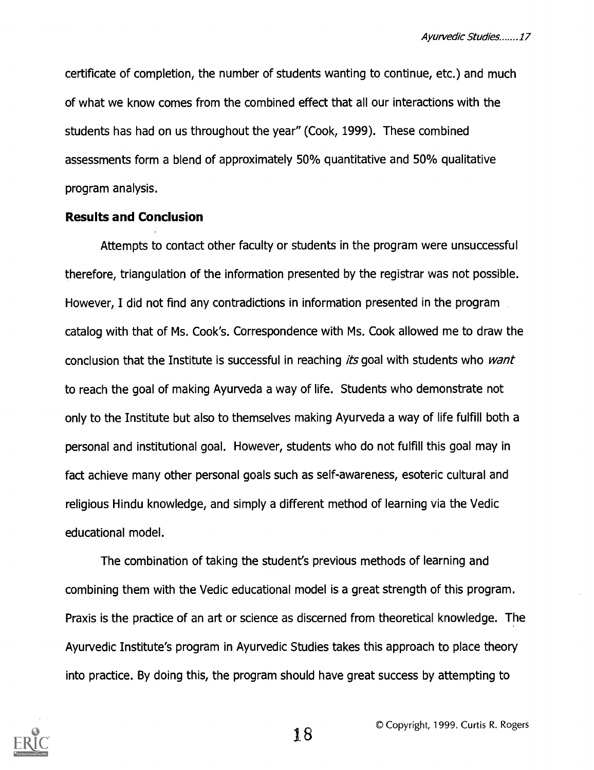certificate of completion, the number of students wanting to continue, etc.) and much of what we know comes from the combined effect that all our interactions with the students has had on us throughout the year" (Cook, 1999). These combined assessments form a blend of approximately 50% quantitative and 50% qualitative program analysis.

#### Results and Conclusion

Attempts to contact other faculty or students in the program were unsuccessful therefore, triangulation of the information presented by the registrar was not possible. However, I did not find any contradictions in information presented in the program catalog with that of Ms. Cook's. Correspondence with Ms. Cook allowed me to draw the conclusion that the Institute is successful in reaching its goal with students who want to reach the goal of making Ayurveda a way of life. Students who demonstrate not only to the Institute but also to themselves making Ayurveda a way of life fulfill both a personal and institutional goal. However, students who do not fulfill this goal may in fact achieve many other personal goals such as self-awareness, esoteric cultural and religious Hindu knowledge, and simply a different method of learning via the Vedic educational model.

The combination of taking the student's previous methods of learning and combining them with the Vedic educational model is a great strength of this program. Praxis is the practice of an art or science as discerned from theoretical knowledge. The Ayurvedic Institute's program in Ayurvedic Studies takes this approach to place theory into practice. By doing this, the program should have great success by attempting to

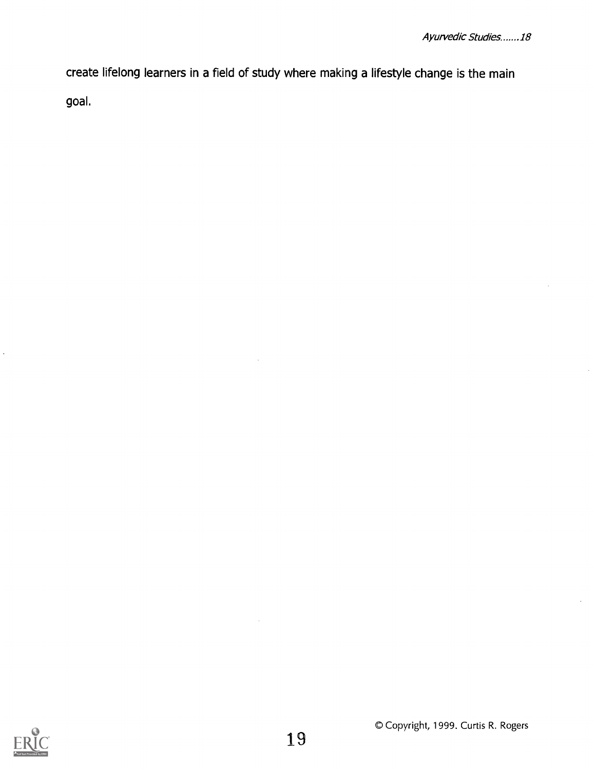create lifelong learners in a field of study where making a lifestyle change is the main goal.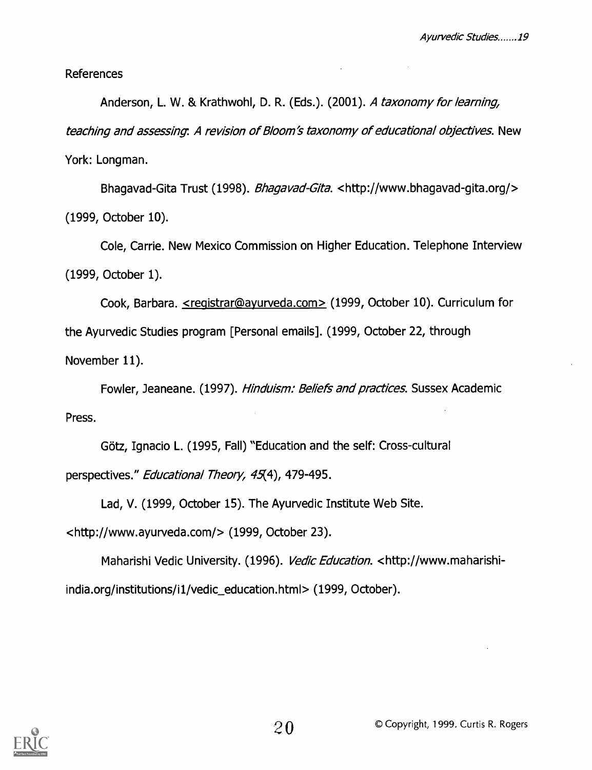References

Anderson, L. W. & Krathwohl, D. R. (Eds.). (2001). A taxonomy for learning, teaching and assessing. A revision of Bloom's taxonomy of educational objectives. New York: Longman.

Bhagavad-Gita Trust (1998). Bhagavad-Gita. <http://www.bhagavad-gita.org/> (1999, October 10).

Cole, Carrie. New Mexico Commission on Higher Education. Telephone Interview (1999, October 1).

Cook, Barbara. <registrar@iayurveda.com> (1999, October 10). Curriculum for the Ayurvedic Studies program [Personal emails]. (1999, October 22, through November 11).

Fowler, Jeaneane. (1997). *Hinduism: Beliefs and practices*. Sussex Academic Press.

Götz, Ignacio L. (1995, Fall) "Education and the self: Cross-cultural perspectives." Educational Theory, 45(4), 479-495.

Lad, V. (1999, October 15). The Ayurvedic Institute Web Site.

<http://www.ayurveda.com/> (1999, October 23).

Maharishi Vedic University. (1996). Vedic Education. <http://www.maharishiindia.org/institutions/i1/vedic\_education.html> (1999, October).

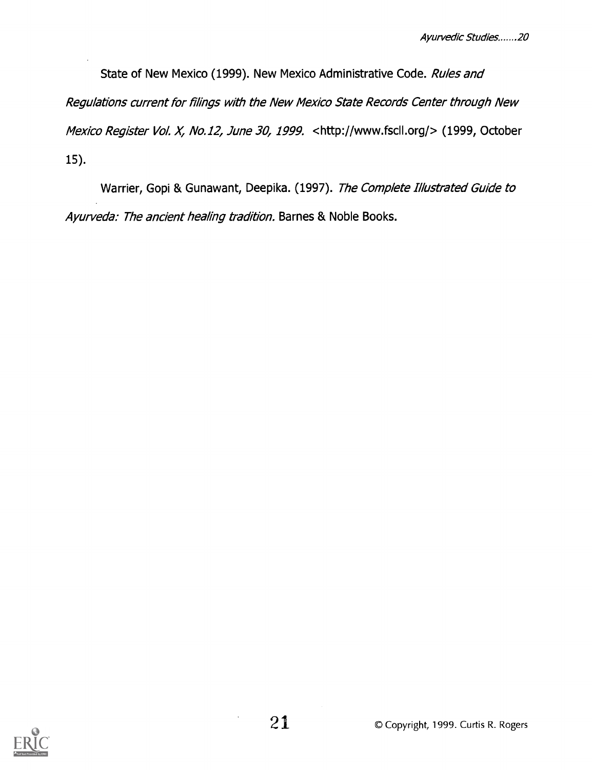State of New Mexico (1999). New Mexico Administrative Code. Rules and Regulations current for filings with the New Mexico State Records Center through New Mexico Register Vol. X, No.12, June 30, 1999. <http://www.fscll.org/> (1999, October 15).

Warrier, Gopi & Gunawant, Deepika. (1997). The Complete Illustrated Guide to Ayurveda: The ancient healing tradition. Barnes & Noble Books.